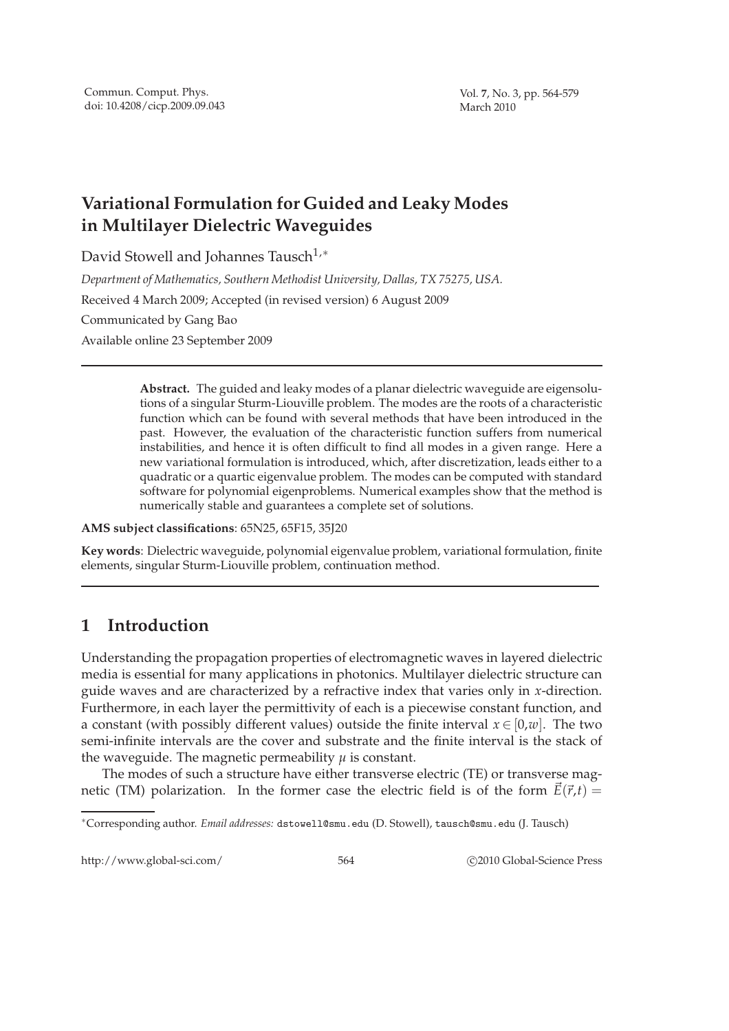# **Variational Formulation for Guided and Leaky Modes in Multilayer Dielectric Waveguides**

David Stowell and Johannes Tausch<sup>1,∗</sup>

*Department of Mathematics, Southern Methodist University, Dallas, TX 75275, USA.*

Received 4 March 2009; Accepted (in revised version) 6 August 2009

Communicated by Gang Bao

Available online 23 September 2009

**Abstract.** The guided and leaky modes of a planar dielectric waveguide are eigensolutions of a singular Sturm-Liouville problem. The modes are the roots of a characteristic function which can be found with several methods that have been introduced in the past. However, the evaluation of the characteristic function suffers from numerical instabilities, and hence it is often difficult to find all modes in a given range. Here a new variational formulation is introduced, which, after discretization, leads either to a quadratic or a quartic eigenvalue problem. The modes can be computed with standard software for polynomial eigenproblems. Numerical examples show that the method is numerically stable and guarantees a complete set of solutions.

**AMS subject classifications**: 65N25, 65F15, 35J20

**Key words**: Dielectric waveguide, polynomial eigenvalue problem, variational formulation, finite elements, singular Sturm-Liouville problem, continuation method.

# **1 Introduction**

Understanding the propagation properties of electromagnetic waves in layered dielectric media is essential for many applications in photonics. Multilayer dielectric structure can guide waves and are characterized by a refractive index that varies only in *x*-direction. Furthermore, in each layer the permittivity of each is a piecewise constant function, and a constant (with possibly different values) outside the finite interval  $x \in [0,w]$ . The two semi-infinite intervals are the cover and substrate and the finite interval is the stack of the waveguide. The magnetic permeability  $\mu$  is constant.

The modes of such a structure have either transverse electric (TE) or transverse magnetic (TM) polarization. In the former case the electric field is of the form  $\vec{E}(\vec{r},t)$  =

http://www.global-sci.com/ 564 c 2010 Global-Science Press

<sup>∗</sup>Corresponding author. *Email addresses:* dstowell@smu.edu (D. Stowell), tausch@smu.edu (J. Tausch)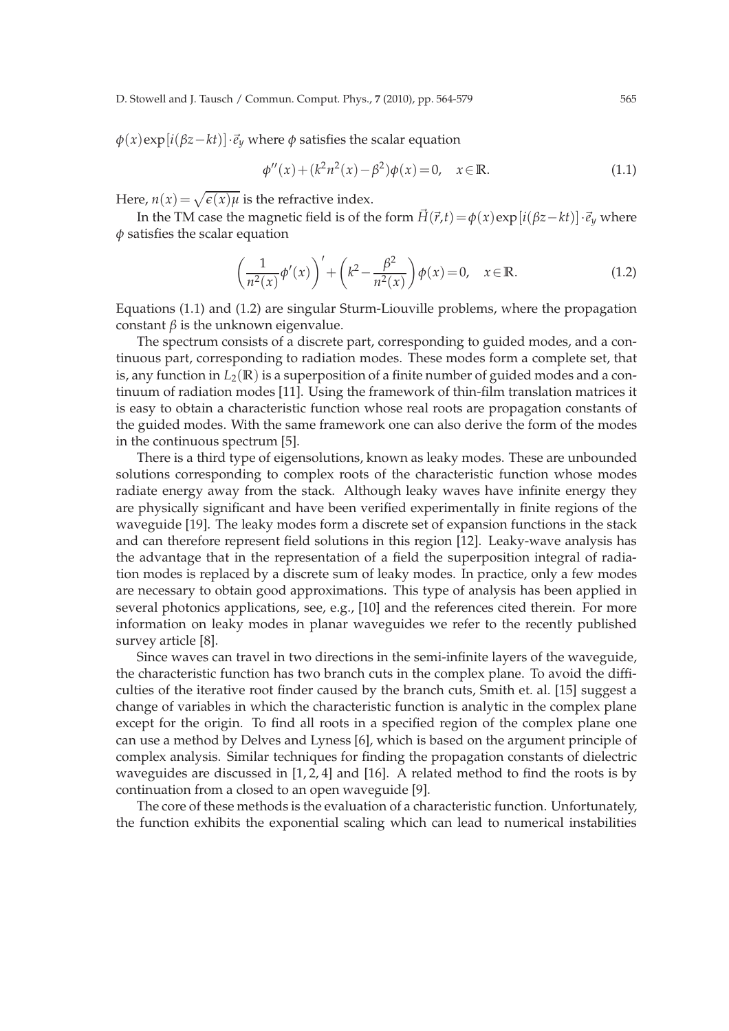$\phi(x)$ exp $[i(\beta z - kt)] \cdot \vec{e}_y$  where  $\phi$  satisfies the scalar equation

$$
\phi''(x) + (k^2 n^2(x) - \beta^2)\phi(x) = 0, \quad x \in \mathbb{R}.
$$
 (1.1)

Here,  $n(x) = \sqrt{\epsilon(x)\mu}$  is the refractive index.

In the TM case the magnetic field is of the form  $\vec{H}(\vec{r},t) = \phi(x) \exp[i(\beta z - kt)] \cdot \vec{e}_y$  where *φ* satisfies the scalar equation

$$
\left(\frac{1}{n^2(x)}\phi'(x)\right)' + \left(k^2 - \frac{\beta^2}{n^2(x)}\right)\phi(x) = 0, \quad x \in \mathbb{R}.\tag{1.2}
$$

Equations (1.1) and (1.2) are singular Sturm-Liouville problems, where the propagation constant  $β$  is the unknown eigenvalue.

The spectrum consists of a discrete part, corresponding to guided modes, and a continuous part, corresponding to radiation modes. These modes form a complete set, that is, any function in  $L_2(\mathbb{R})$  is a superposition of a finite number of guided modes and a continuum of radiation modes [11]. Using the framework of thin-film translation matrices it is easy to obtain a characteristic function whose real roots are propagation constants of the guided modes. With the same framework one can also derive the form of the modes in the continuous spectrum [5].

There is a third type of eigensolutions, known as leaky modes. These are unbounded solutions corresponding to complex roots of the characteristic function whose modes radiate energy away from the stack. Although leaky waves have infinite energy they are physically significant and have been verified experimentally in finite regions of the waveguide [19]. The leaky modes form a discrete set of expansion functions in the stack and can therefore represent field solutions in this region [12]. Leaky-wave analysis has the advantage that in the representation of a field the superposition integral of radiation modes is replaced by a discrete sum of leaky modes. In practice, only a few modes are necessary to obtain good approximations. This type of analysis has been applied in several photonics applications, see, e.g., [10] and the references cited therein. For more information on leaky modes in planar waveguides we refer to the recently published survey article [8].

Since waves can travel in two directions in the semi-infinite layers of the waveguide, the characteristic function has two branch cuts in the complex plane. To avoid the difficulties of the iterative root finder caused by the branch cuts, Smith et. al. [15] suggest a change of variables in which the characteristic function is analytic in the complex plane except for the origin. To find all roots in a specified region of the complex plane one can use a method by Delves and Lyness [6], which is based on the argument principle of complex analysis. Similar techniques for finding the propagation constants of dielectric waveguides are discussed in  $[1, 2, 4]$  and  $[16]$ . A related method to find the roots is by continuation from a closed to an open waveguide [9].

The core of these methods is the evaluation of a characteristic function. Unfortunately, the function exhibits the exponential scaling which can lead to numerical instabilities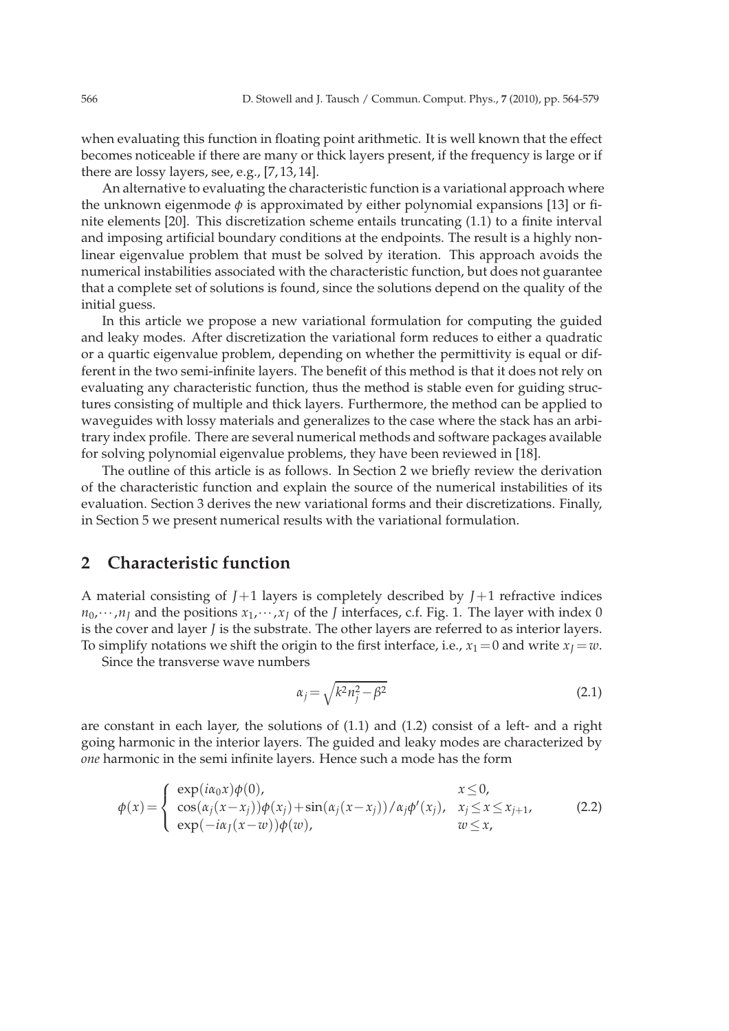when evaluating this function in floating point arithmetic. It is well known that the effect becomes noticeable if there are many or thick layers present, if the frequency is large or if there are lossy layers, see, e.g., [7, 13, 14].

An alternative to evaluating the characteristic function is a variational approach where the unknown eigenmode *φ* is approximated by either polynomial expansions [13] or finite elements [20]. This discretization scheme entails truncating (1.1) to a finite interval and imposing artificial boundary conditions at the endpoints. The result is a highly nonlinear eigenvalue problem that must be solved by iteration. This approach avoids the numerical instabilities associated with the characteristic function, but does not guarantee that a complete set of solutions is found, since the solutions depend on the quality of the initial guess.

In this article we propose a new variational formulation for computing the guided and leaky modes. After discretization the variational form reduces to either a quadratic or a quartic eigenvalue problem, depending on whether the permittivity is equal or different in the two semi-infinite layers. The benefit of this method is that it does not rely on evaluating any characteristic function, thus the method is stable even for guiding structures consisting of multiple and thick layers. Furthermore, the method can be applied to waveguides with lossy materials and generalizes to the case where the stack has an arbitrary index profile. There are several numerical methods and software packages available for solving polynomial eigenvalue problems, they have been reviewed in [18].

The outline of this article is as follows. In Section 2 we briefly review the derivation of the characteristic function and explain the source of the numerical instabilities of its evaluation. Section 3 derives the new variational forms and their discretizations. Finally, in Section 5 we present numerical results with the variational formulation.

# **2 Characteristic function**

A material consisting of *J*+1 layers is completely described by *J*+1 refractive indices  $n_0$ ,  $\cdots$ , $n_l$  and the positions  $x_1$ ,  $\cdots$ , $x_l$  of the *J* interfaces, c.f. Fig. 1. The layer with index 0 is the cover and layer *J* is the substrate. The other layers are referred to as interior layers. To simplify notations we shift the origin to the first interface, i.e.,  $x_1 = 0$  and write  $x_1 = w$ .

Since the transverse wave numbers

$$
\alpha_j = \sqrt{k^2 n_j^2 - \beta^2} \tag{2.1}
$$

are constant in each layer, the solutions of (1.1) and (1.2) consist of a left- and a right going harmonic in the interior layers. The guided and leaky modes are characterized by *one* harmonic in the semi infinite layers. Hence such a mode has the form

$$
\phi(x) = \begin{cases}\n\exp(i\alpha_0 x)\phi(0), & x \le 0, \\
\cos(\alpha_j(x - x_j))\phi(x_j) + \sin(\alpha_j(x - x_j))/\alpha_j\phi'(x_j), & x_j \le x \le x_{j+1}, \\
\exp(-i\alpha_j(x - w))\phi(w), & w \le x,\n\end{cases}
$$
\n(2.2)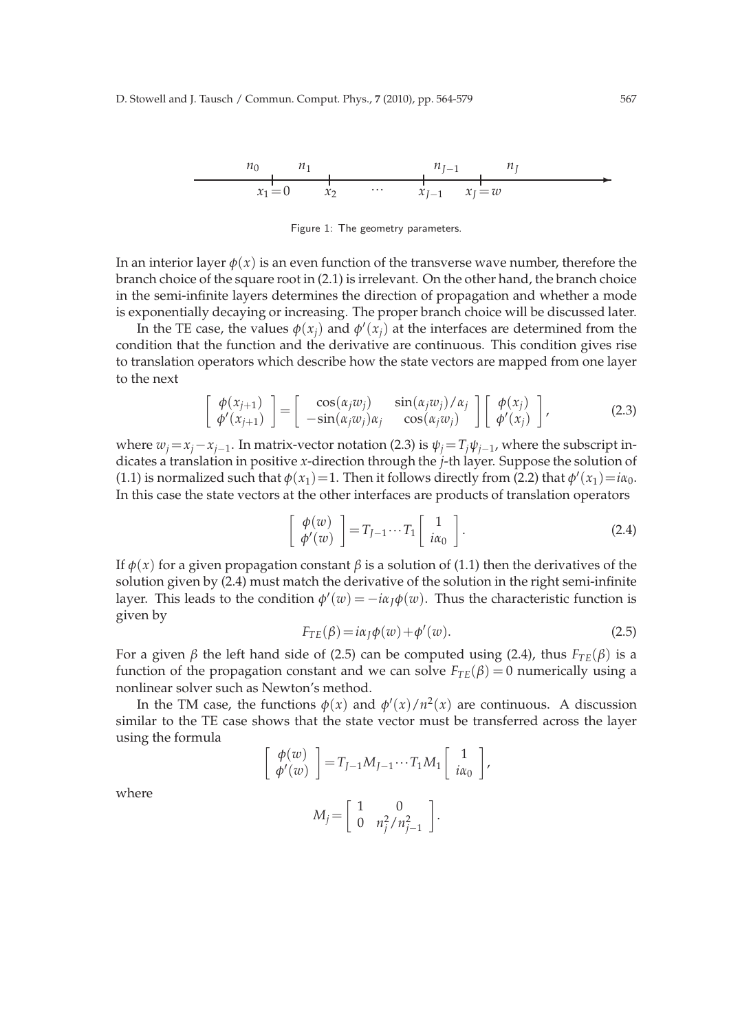$$
\begin{array}{c|cccc}\n n_0 & n_1 & & & n_{J-1} & n_J \\
\hline\n x_1 = 0 & x_2 & \cdots & x_{J-1} & x_J = w\n\end{array}
$$

Figure 1: The geometry parameters.

In an interior layer  $\phi(x)$  is an even function of the transverse wave number, therefore the branch choice of the square root in (2.1) is irrelevant. On the other hand, the branch choice in the semi-infinite layers determines the direction of propagation and whether a mode is exponentially decaying or increasing. The proper branch choice will be discussed later.

In the TE case, the values  $\phi(x_j)$  and  $\phi'(x_j)$  at the interfaces are determined from the condition that the function and the derivative are continuous. This condition gives rise to translation operators which describe how the state vectors are mapped from one layer to the next

$$
\begin{bmatrix}\n\phi(x_{j+1}) \\
\phi'(x_{j+1})\n\end{bmatrix} = \begin{bmatrix}\n\cos(\alpha_j w_j) & \sin(\alpha_j w_j)/\alpha_j \\
-\sin(\alpha_j w_j)\alpha_j & \cos(\alpha_j w_j)\n\end{bmatrix} \begin{bmatrix}\n\phi(x_j) \\
\phi'(x_j)\n\end{bmatrix},
$$
\n(2.3)

where  $w_j = x_j - x_{j-1}$ . In matrix-vector notation (2.3) is  $\psi_j = T_j \psi_{j-1}$ , where the subscript indicates a translation in positive *x*-direction through the *j*-th layer. Suppose the solution of (1.1) is normalized such that  $\phi(x_1) = 1$ . Then it follows directly from (2.2) that  $\phi'(x_1) = i\alpha_0$ . In this case the state vectors at the other interfaces are products of translation operators

$$
\left[\begin{array}{c}\n\phi(w) \\
\phi'(w)\n\end{array}\right] = T_{J-1} \cdots T_1 \left[\begin{array}{c}1 \\
i\alpha_0\end{array}\right].
$$
\n(2.4)

If  $\phi(x)$  for a given propagation constant *β* is a solution of (1.1) then the derivatives of the solution given by (2.4) must match the derivative of the solution in the right semi-infinite layer. This leads to the condition  $\phi'(w) = -i\alpha_J\phi(w)$ . Thus the characteristic function is given by

$$
F_{TE}(\beta) = i\alpha_J \phi(w) + \phi'(w).
$$
\n(2.5)

For a given *β* the left hand side of (2.5) can be computed using (2.4), thus *FTE*(*β*) is a function of the propagation constant and we can solve  $F_{TE}(\beta) = 0$  numerically using a nonlinear solver such as Newton's method.

In the TM case, the functions  $\phi(x)$  and  $\phi'(x)/n^2(x)$  are continuous. A discussion similar to the TE case shows that the state vector must be transferred across the layer using the formula

$$
\begin{bmatrix}\n\phi(w) \\
\phi'(w)\n\end{bmatrix} = T_{J-1}M_{J-1}\cdots T_1M_1 \begin{bmatrix}\n1 \\
i\alpha_0\n\end{bmatrix},
$$
\n
$$
M_j = \begin{bmatrix}\n1 & 0 \\
0 & n_j^2/n_{j-1}^2\n\end{bmatrix}.
$$

where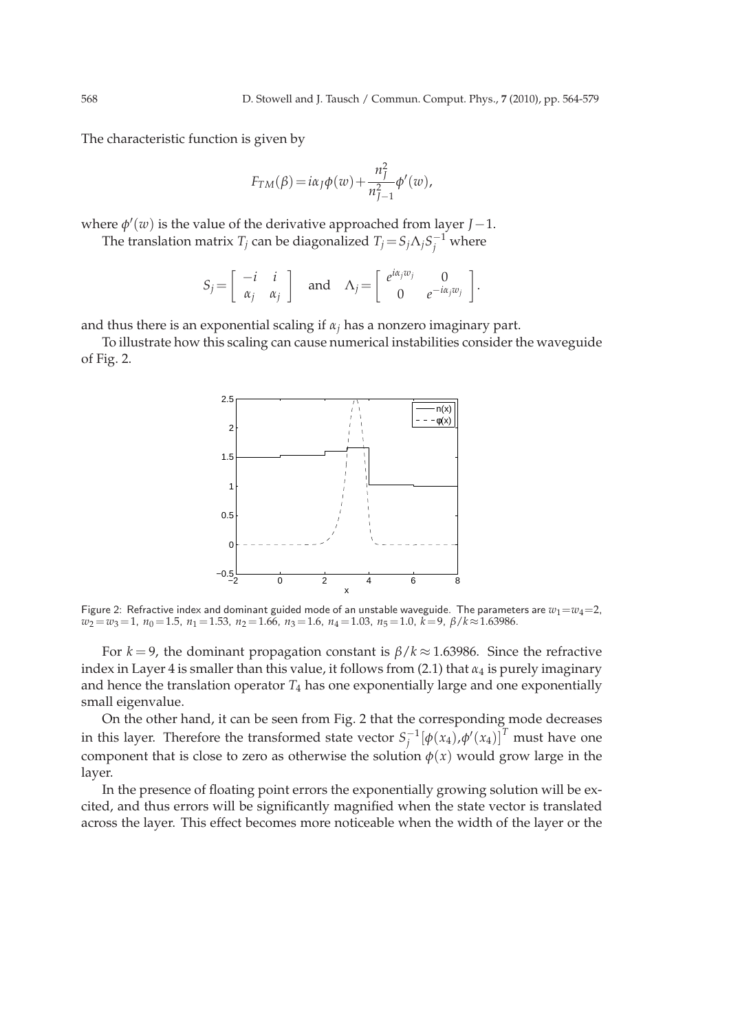The characteristic function is given by

$$
F_{TM}(\beta) = i\alpha_{J}\phi(w) + \frac{n_{J}^{2}}{n_{J-1}^{2}}\phi'(w),
$$

where  $\phi'(w)$  is the value of the derivative approached from layer *J*-1.

The translation matrix  $T_j$  can be diagonalized  $T_j = S_j \Lambda_j S_j^{-1}$  where

$$
S_j = \left[ \begin{array}{cc} -i & i \\ \alpha_j & \alpha_j \end{array} \right] \quad \text{and} \quad \Lambda_j = \left[ \begin{array}{cc} e^{i\alpha_j w_j} & 0 \\ 0 & e^{-i\alpha_j w_j} \end{array} \right].
$$

and thus there is an exponential scaling if  $\alpha_j$  has a nonzero imaginary part.

To illustrate how this scaling can cause numerical instabilities consider the waveguide of Fig. 2.



Figure 2: Refractive index and dominant guided mode of an unstable waveguide. The parameters are  $w_1 = w_4 = 2$ , *w*<sup>2</sup> =*w*3=1, *n*<sup>0</sup> =1.5, *n*<sup>1</sup> =1.53, *n*<sup>2</sup> =1.66, *n*<sup>3</sup> =1.6, *n*<sup>4</sup> =1.03, *n*<sup>5</sup> =1.0, *k*=9, *β*/*k*≈1.63986.

For  $k = 9$ , the dominant propagation constant is  $\beta/k \approx 1.63986$ . Since the refractive index in Layer 4 is smaller than this value, it follows from (2.1) that *α*<sup>4</sup> is purely imaginary and hence the translation operator  $T_4$  has one exponentially large and one exponentially small eigenvalue.

On the other hand, it can be seen from Fig. 2 that the corresponding mode decreases in this layer. Therefore the transformed state vector  $S_i^{-1}$  $\int_j^{-1} [\phi(x_4), \phi'(x_4)]^T$  must have one component that is close to zero as otherwise the solution  $\phi(x)$  would grow large in the layer.

In the presence of floating point errors the exponentially growing solution will be excited, and thus errors will be significantly magnified when the state vector is translated across the layer. This effect becomes more noticeable when the width of the layer or the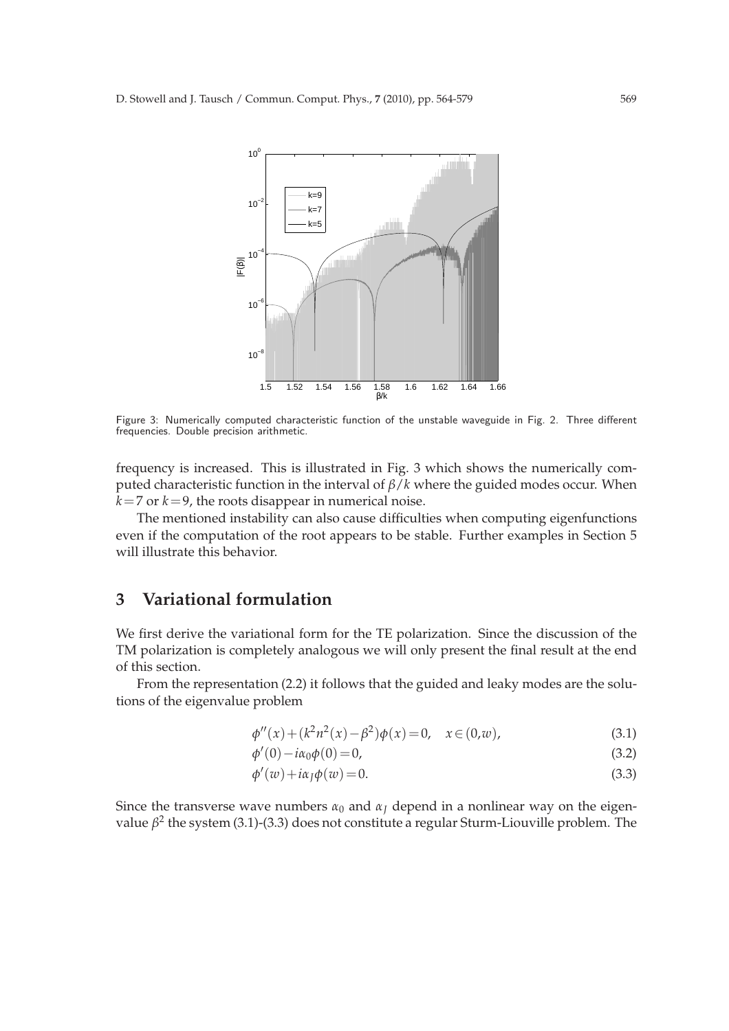

Figure 3: Numerically computed characteristic function of the unstable waveguide in Fig. 2. Three different frequencies. Double precision arithmetic.

frequency is increased. This is illustrated in Fig. 3 which shows the numerically computed characteristic function in the interval of *β*/*k* where the guided modes occur. When  $k=7$  or  $k=9$ , the roots disappear in numerical noise.

The mentioned instability can also cause difficulties when computing eigenfunctions even if the computation of the root appears to be stable. Further examples in Section 5 will illustrate this behavior.

# **3 Variational formulation**

We first derive the variational form for the TE polarization. Since the discussion of the TM polarization is completely analogous we will only present the final result at the end of this section.

From the representation (2.2) it follows that the guided and leaky modes are the solutions of the eigenvalue problem

$$
\phi''(x) + (k^2 n^2(x) - \beta^2)\phi(x) = 0, \quad x \in (0, w), \tag{3.1}
$$

$$
\phi'(0) - i\alpha_0 \phi(0) = 0,\tag{3.2}
$$

$$
\phi'(w) + i\alpha_J \phi(w) = 0.
$$
\n(3.3)

Since the transverse wave numbers  $\alpha_0$  and  $\alpha_J$  depend in a nonlinear way on the eigenvalue β<sup>2</sup> the system (3.1)-(3.3) does not constitute a regular Sturm-Liouville problem. The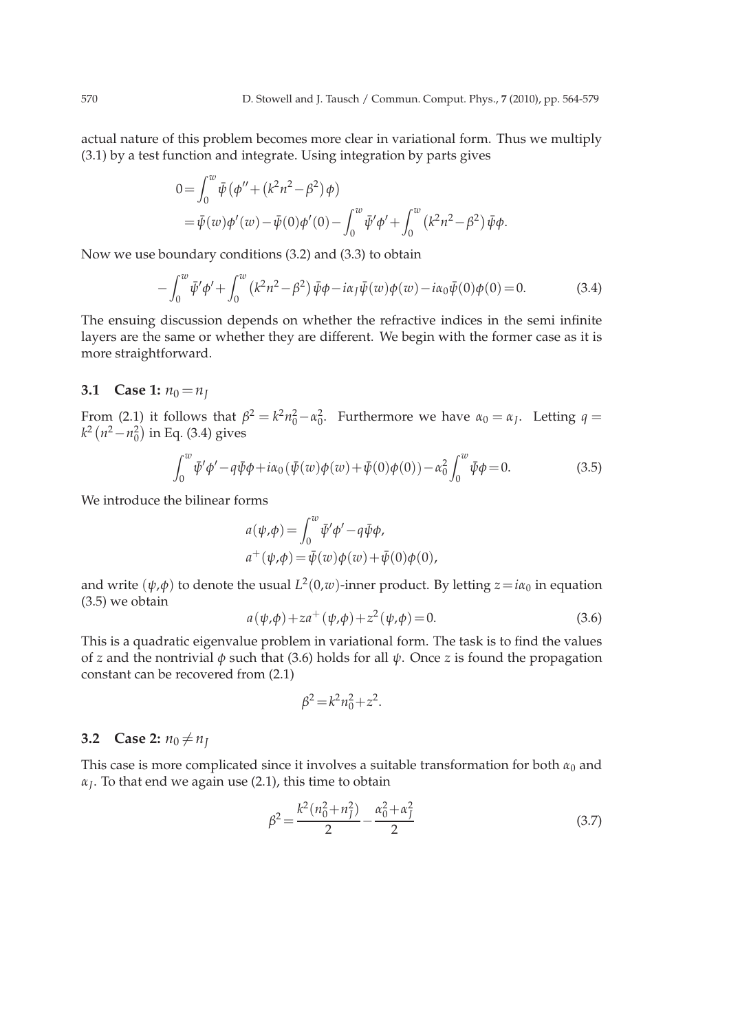actual nature of this problem becomes more clear in variational form. Thus we multiply (3.1) by a test function and integrate. Using integration by parts gives

$$
0 = \int_0^w \bar{\psi} (\phi'' + (k^2 n^2 - \beta^2) \phi)
$$
  
=  $\bar{\psi}(w) \phi'(w) - \bar{\psi}(0) \phi'(0) - \int_0^w \bar{\psi}' \phi' + \int_0^w (k^2 n^2 - \beta^2) \bar{\psi} \phi$ .

Now we use boundary conditions (3.2) and (3.3) to obtain

$$
- \int_0^w \bar{\psi}' \phi' + \int_0^w (k^2 n^2 - \beta^2) \bar{\psi} \phi - i\alpha_J \bar{\psi}(w) \phi(w) - i\alpha_0 \bar{\psi}(0) \phi(0) = 0.
$$
 (3.4)

The ensuing discussion depends on whether the refractive indices in the semi infinite layers are the same or whether they are different. We begin with the former case as it is more straightforward.

#### **3.1** Case 1:  $n_0 = n_I$

From (2.1) it follows that  $\beta^2 = k^2 n_0^2 - \alpha_0^2$ . Furthermore we have  $\alpha_0 = \alpha_J$ . Letting  $q =$ *k*<sup>2</sup> (*n*<sup>2</sup>−*n*<sup>2</sup><sub>0</sub>) in Eq. (3.4) gives

$$
\int_0^w \bar{\psi}' \phi' - q \bar{\psi} \phi + i\alpha_0 (\bar{\psi}(w)\phi(w) + \bar{\psi}(0)\phi(0)) - \alpha_0^2 \int_0^w \bar{\psi} \phi = 0.
$$
 (3.5)

We introduce the bilinear forms

$$
a(\psi,\phi) = \int_0^w \bar{\psi}' \phi' - q \bar{\psi} \phi,
$$
  
\n
$$
a^+(\psi,\phi) = \bar{\psi}(w)\phi(w) + \bar{\psi}(0)\phi(0),
$$

and write  $(\psi, \phi)$  to denote the usual  $L^2(0,w)$ -inner product. By letting  $z = i\alpha_0$  in equation (3.5) we obtain

$$
a(\psi, \phi) + za^{+}(\psi, \phi) + z^{2}(\psi, \phi) = 0.
$$
 (3.6)

This is a quadratic eigenvalue problem in variational form. The task is to find the values of *z* and the nontrivial *φ* such that (3.6) holds for all *ψ*. Once *z* is found the propagation constant can be recovered from (2.1)

$$
\beta^2 = k^2 n_0^2 + z^2.
$$

### **3.2** Case 2:  $n_0 \neq n_J$

This case is more complicated since it involves a suitable transformation for both  $\alpha_0$  and *αJ* . To that end we again use (2.1), this time to obtain

$$
\beta^2 = \frac{k^2(n_0^2 + n_f^2)}{2} - \frac{\alpha_0^2 + \alpha_f^2}{2}
$$
\n(3.7)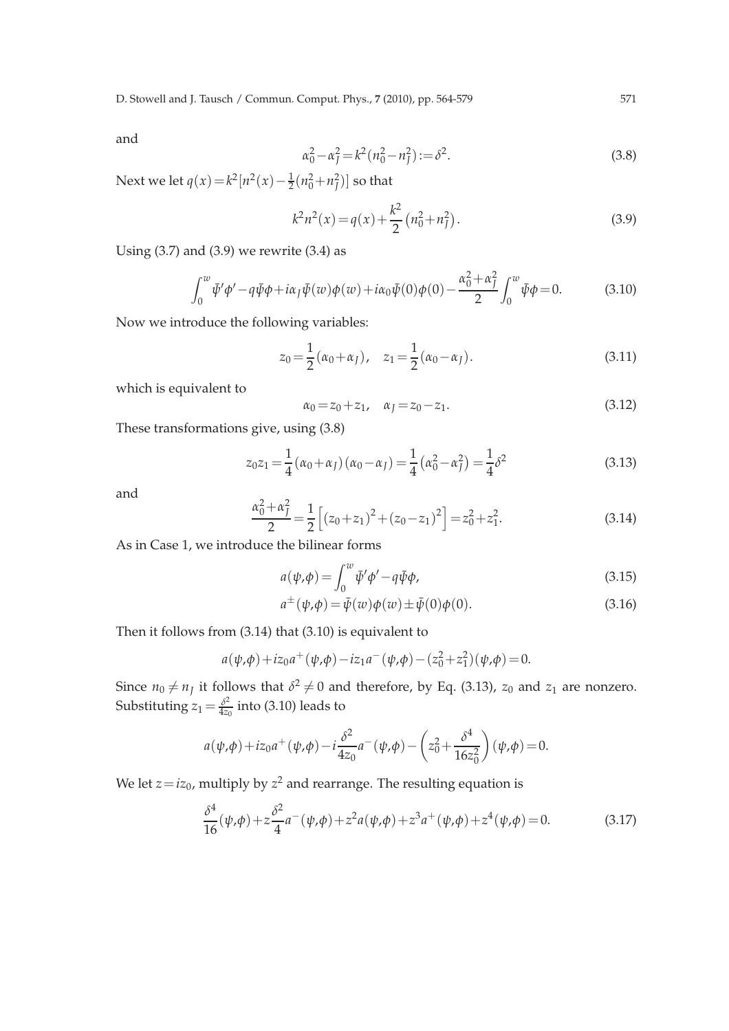and

$$
\alpha_0^2 - \alpha_f^2 = k^2 (n_0^2 - n_f^2) := \delta^2.
$$
\n(3.8)

Next we let  $q(x) = k^2 [n^2(x) - \frac{1}{2}(n_0^2 + n_f^2)]$  so that

$$
k^{2}n^{2}(x) = q(x) + \frac{k^{2}}{2}(n_{0}^{2} + n_{J}^{2}).
$$
\n(3.9)

Using  $(3.7)$  and  $(3.9)$  we rewrite  $(3.4)$  as

$$
\int_0^w \bar{\psi}' \phi' - q \bar{\psi} \phi + i \alpha_J \bar{\psi}(w) \phi(w) + i \alpha_0 \bar{\psi}(0) \phi(0) - \frac{\alpha_0^2 + \alpha_J^2}{2} \int_0^w \bar{\psi} \phi = 0.
$$
 (3.10)

Now we introduce the following variables:

$$
z_0 = \frac{1}{2} (\alpha_0 + \alpha_J), \quad z_1 = \frac{1}{2} (\alpha_0 - \alpha_J).
$$
 (3.11)

which is equivalent to

$$
\alpha_0 = z_0 + z_1, \quad \alpha_j = z_0 - z_1. \tag{3.12}
$$

These transformations give, using (3.8)

$$
z_0 z_1 = \frac{1}{4} (\alpha_0 + \alpha_f) (\alpha_0 - \alpha_f) = \frac{1}{4} (\alpha_0^2 - \alpha_f^2) = \frac{1}{4} \delta^2
$$
 (3.13)

and

$$
\frac{\alpha_0^2 + \alpha_j^2}{2} = \frac{1}{2} \left[ (z_0 + z_1)^2 + (z_0 - z_1)^2 \right] = z_0^2 + z_1^2.
$$
 (3.14)

As in Case 1, we introduce the bilinear forms

$$
a(\psi,\phi) = \int_0^w \bar{\psi}' \phi' - q \bar{\psi} \phi,
$$
\n(3.15)

$$
a^{\pm}(\psi,\phi) = \bar{\psi}(w)\phi(w) \pm \bar{\psi}(0)\phi(0).
$$
 (3.16)

Then it follows from (3.14) that (3.10) is equivalent to

$$
a(\psi, \phi) + iz_0 a^+(\psi, \phi) - iz_1 a^-(\psi, \phi) - (z_0^2 + z_1^2)(\psi, \phi) = 0.
$$

Since  $n_0 \neq n_j$  it follows that  $\delta^2 \neq 0$  and therefore, by Eq. (3.13),  $z_0$  and  $z_1$  are nonzero. Substituting  $z_1 \!=\! \frac{\delta^2}{4z_4}$  $\frac{\partial^2}{\partial z_0}$  into (3.10) leads to

$$
a(\psi, \phi) + iz_0 a^+(\psi, \phi) - i \frac{\delta^2}{4z_0} a^-(\psi, \phi) - \left(z_0^2 + \frac{\delta^4}{16z_0^2}\right)(\psi, \phi) = 0.
$$

We let  $z\!=\!iz_0$ , multiply by  $z^2$  and rearrange. The resulting equation is

$$
\frac{\delta^4}{16}(\psi,\phi) + z\frac{\delta^2}{4}a^-(\psi,\phi) + z^2a(\psi,\phi) + z^3a^+(\psi,\phi) + z^4(\psi,\phi) = 0.
$$
 (3.17)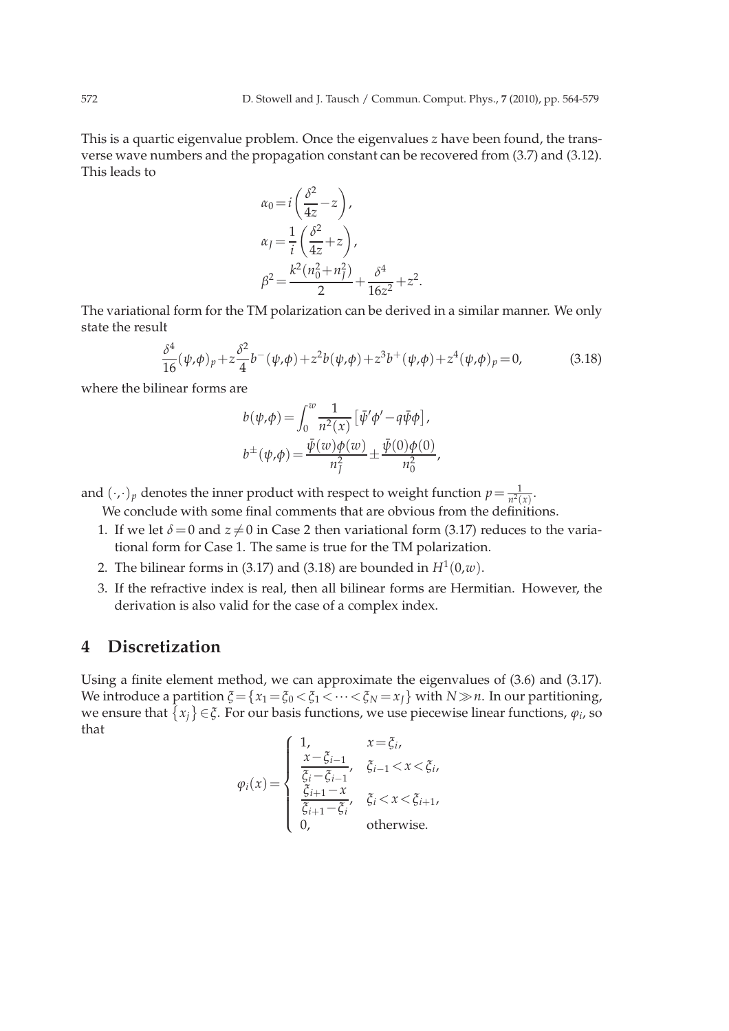This is a quartic eigenvalue problem. Once the eigenvalues *z* have been found, the transverse wave numbers and the propagation constant can be recovered from (3.7) and (3.12). This leads to

$$
\alpha_0 = i \left( \frac{\delta^2}{4z} - z \right),
$$
  
\n
$$
\alpha_J = \frac{1}{i} \left( \frac{\delta^2}{4z} + z \right),
$$
  
\n
$$
\beta^2 = \frac{k^2 (n_0^2 + n_J^2)}{2} + \frac{\delta^4}{16z^2} + z^2.
$$

The variational form for the TM polarization can be derived in a similar manner. We only state the result

$$
\frac{\delta^4}{16}(\psi,\phi)_p + z\frac{\delta^2}{4}b^-(\psi,\phi) + z^2b(\psi,\phi) + z^3b^+(\psi,\phi) + z^4(\psi,\phi)_p = 0,
$$
\n(3.18)

where the bilinear forms are

$$
b(\psi,\phi) = \int_0^w \frac{1}{n^2(\chi)} \left[ \bar{\psi}'\phi' - q\bar{\psi}\phi \right],
$$
  

$$
b^{\pm}(\psi,\phi) = \frac{\bar{\psi}(w)\phi(w)}{n_f^2} \pm \frac{\bar{\psi}(0)\phi(0)}{n_0^2},
$$

and  $(\cdot,\cdot)_p$  denotes the inner product with respect to weight function  $p = \frac{1}{n^2(x)}$ .

We conclude with some final comments that are obvious from the definitions.

- 1. If we let  $\delta = 0$  and  $z \neq 0$  in Case 2 then variational form (3.17) reduces to the variational form for Case 1. The same is true for the TM polarization.
- 2. The bilinear forms in (3.17) and (3.18) are bounded in  $H^1(0,w)$ .
- 3. If the refractive index is real, then all bilinear forms are Hermitian. However, the derivation is also valid for the case of a complex index.

## **4 Discretization**

Using a finite element method, we can approximate the eigenvalues of (3.6) and (3.17). We introduce a partition  $\xi = \{x_1 = \xi_0 < \xi_1 < \cdots < \xi_N = x_J\}$  with  $N \gg n$ . In our partitioning, we ensure that  $\{x_j\} \in \xi$ . For our basis functions, we use piecewise linear functions,  $\varphi_i$ , so that

$$
\varphi_i(x) = \begin{cases}\n1, & x = \xi_i, \\
\frac{x - \xi_{i-1}}{\xi_i - \xi_{i-1}}, & \xi_{i-1} < x < \xi_i, \\
\frac{\xi_{i+1} - x}{\xi_{i+1} - \xi_i}, & \xi_i < x < \xi_{i+1}, \\
0, & \text{otherwise.}\n\end{cases}
$$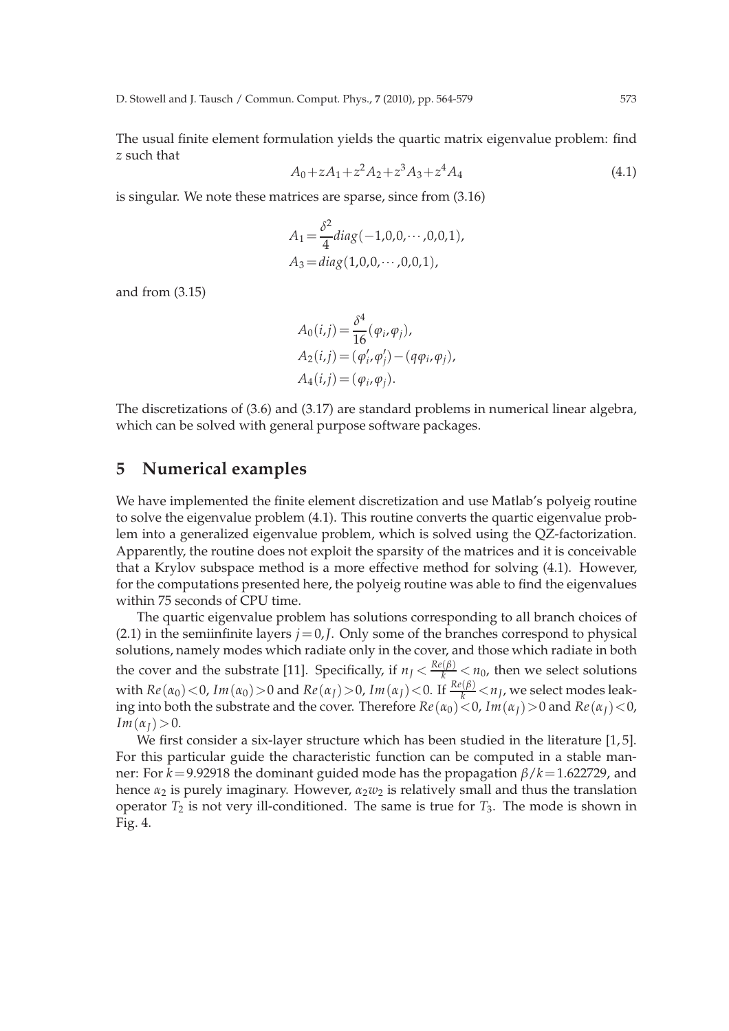The usual finite element formulation yields the quartic matrix eigenvalue problem: find *z* such that

$$
A_0 + zA_1 + z^2A_2 + z^3A_3 + z^4A_4 \tag{4.1}
$$

is singular. We note these matrices are sparse, since from (3.16)

$$
A_1 = \frac{\delta^2}{4} diag(-1,0,0,\cdots,0,0,1),
$$
  
\n
$$
A_3 = diag(1,0,0,\cdots,0,0,1),
$$

and from (3.15)

$$
A_0(i,j) = \frac{\delta^4}{16} (\varphi_i, \varphi_j),
$$
  
\n
$$
A_2(i,j) = (\varphi'_i, \varphi'_j) - (q\varphi_i, \varphi_j),
$$
  
\n
$$
A_4(i,j) = (\varphi_i, \varphi_j).
$$

The discretizations of (3.6) and (3.17) are standard problems in numerical linear algebra, which can be solved with general purpose software packages.

### **5 Numerical examples**

We have implemented the finite element discretization and use Matlab's polyeig routine to solve the eigenvalue problem (4.1). This routine converts the quartic eigenvalue problem into a generalized eigenvalue problem, which is solved using the QZ-factorization. Apparently, the routine does not exploit the sparsity of the matrices and it is conceivable that a Krylov subspace method is a more effective method for solving (4.1). However, for the computations presented here, the polyeig routine was able to find the eigenvalues within 75 seconds of CPU time.

The quartic eigenvalue problem has solutions corresponding to all branch choices of (2.1) in the semiinfinite layers  $j=0$ ,*J*. Only some of the branches correspond to physical solutions, namely modes which radiate only in the cover, and those which radiate in both the cover and the substrate [11]. Specifically, if  $n<sub>J</sub> < \frac{Re(\beta)}{k} < n<sub>0</sub>$ , then we select solutions with  $Re(\alpha_0)$  < 0,  $Im(\alpha_0)$  > 0 and  $Re(\alpha_J)$  > 0,  $Im(\alpha_J)$  < 0. If  $\frac{Re(\beta)}{k}$  <  $n_J$ , we select modes leaking into both the substrate and the cover. Therefore  $Re(\alpha_0) < 0$ ,  $Im(\alpha_1) > 0$  and  $Re(\alpha_1) < 0$ ,  $Im(\alpha_I) > 0.$ 

We first consider a six-layer structure which has been studied in the literature [1,5]. For this particular guide the characteristic function can be computed in a stable manner: For *k*=9.92918 the dominant guided mode has the propagation *β*/*k*=1.622729, and hence  $\alpha_2$  is purely imaginary. However,  $\alpha_2 w_2$  is relatively small and thus the translation operator  $T_2$  is not very ill-conditioned. The same is true for  $T_3$ . The mode is shown in Fig. 4.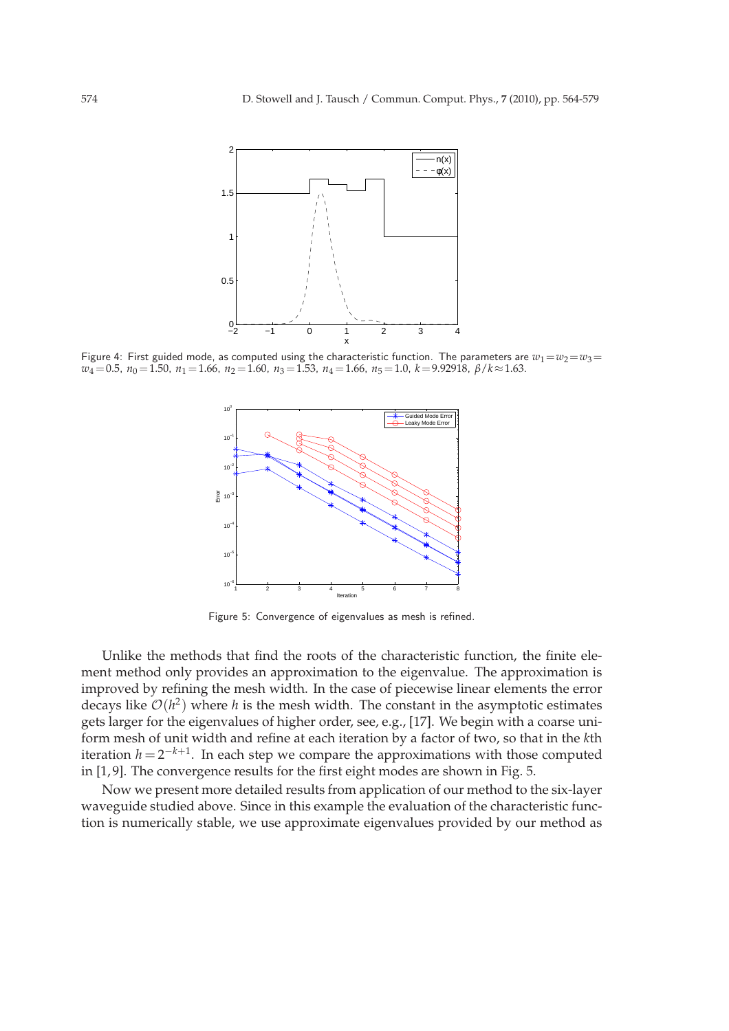

Figure 4: First guided mode, as computed using the characteristic function. The parameters are  $w_1 = w_2 = w_3 =$ *w*<sub>4</sub> = 0.5, *n*<sub>0</sub> = 1.50, *n*<sub>1</sub> = 1.66, *n*<sub>2</sub> = 1.60, *n*<sub>3</sub> = 1.53, *n*<sub>4</sub> = 1.66, *n*<sub>5</sub> = 1.0, *k* = 9.92918, *β*/*k*≈1.63.



Figure 5: Convergence of eigenvalues as mesh is refined.

Unlike the methods that find the roots of the characteristic function, the finite element method only provides an approximation to the eigenvalue. The approximation is improved by refining the mesh width. In the case of piecewise linear elements the error decays like  $\mathcal{O}(h^2)$  where *h* is the mesh width. The constant in the asymptotic estimates gets larger for the eigenvalues of higher order, see, e.g., [17]. We begin with a coarse uniform mesh of unit width and refine at each iteration by a factor of two, so that in the *k*th iteration  $h = 2^{-k+1}$ . In each step we compare the approximations with those computed in [1, 9]. The convergence results for the first eight modes are shown in Fig. 5.

Now we present more detailed results from application of our method to the six-layer waveguide studied above. Since in this example the evaluation of the characteristic function is numerically stable, we use approximate eigenvalues provided by our method as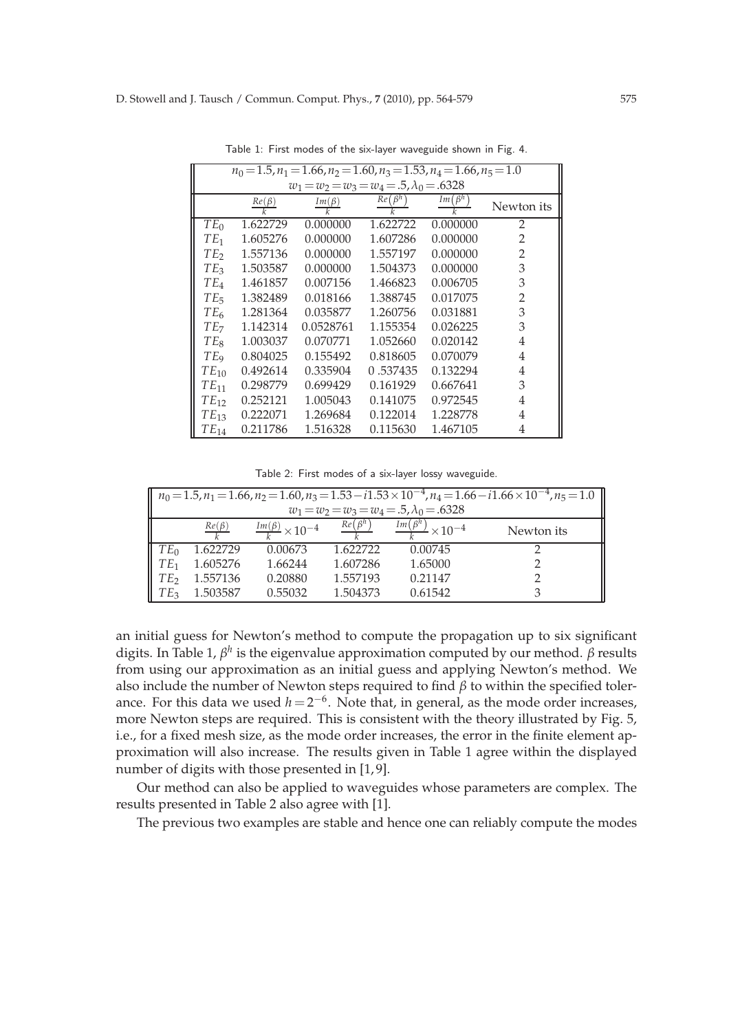| $n_0 = 1.5, n_1 = 1.66, n_2 = 1.60, n_3 = 1.53, n_4 = 1.66, n_5 = 1.0$ |                       |                               |               |               |                |  |  |  |  |
|------------------------------------------------------------------------|-----------------------|-------------------------------|---------------|---------------|----------------|--|--|--|--|
| $w_1 = w_2 = w_3 = w_4 = .5, \lambda_0 = .6328$                        |                       |                               |               |               |                |  |  |  |  |
|                                                                        | $\frac{Re(\beta)}{k}$ | $Im(\beta)$<br>$\overline{k}$ | $Re(\beta^h)$ | $Im(\beta^h)$ | Newton its     |  |  |  |  |
| $TE_0$                                                                 | 1.622729              | 0.000000                      | 1.622722      | 0.000000      | 2              |  |  |  |  |
| $TE_1$                                                                 | 1.605276              | 0.000000                      | 1.607286      | 0.000000      | 2              |  |  |  |  |
| TE <sub>2</sub>                                                        | 1.557136              | 0.000000                      | 1.557197      | 0.000000      | $\overline{2}$ |  |  |  |  |
| TE <sub>3</sub>                                                        | 1.503587              | 0.000000                      | 1.504373      | 0.000000      | 3              |  |  |  |  |
| $TE_4$                                                                 | 1.461857              | 0.007156                      | 1.466823      | 0.006705      | 3              |  |  |  |  |
| TE                                                                     | 1.382489              | 0.018166                      | 1.388745      | 0.017075      | 2              |  |  |  |  |
| TE <sub>6</sub>                                                        | 1.281364              | 0.035877                      | 1.260756      | 0.031881      | 3              |  |  |  |  |
| TE <sub>7</sub>                                                        | 1.142314              | 0.0528761                     | 1.155354      | 0.026225      | 3              |  |  |  |  |
| TE <sub>8</sub>                                                        | 1.003037              | 0.070771                      | 1.052660      | 0.020142      | 4              |  |  |  |  |
| TE <sub>9</sub>                                                        | 0.804025              | 0.155492                      | 0.818605      | 0.070079      | 4              |  |  |  |  |
| $TE_{10}$                                                              | 0.492614              | 0.335904                      | 0.537435      | 0.132294      | 4              |  |  |  |  |
| $TE_{11}$                                                              | 0.298779              | 0.699429                      | 0.161929      | 0.667641      | 3              |  |  |  |  |
| $TE_{12}$                                                              | 0.252121              | 1.005043                      | 0.141075      | 0.972545      | 4              |  |  |  |  |
| $TE_{13}$                                                              | 0.222071              | 1.269684                      | 0.122014      | 1.228778      | 4              |  |  |  |  |
| $TE_{14}$                                                              | 0.211786              | 1.516328                      | 0.115630      | 1.467105      | 4              |  |  |  |  |

Table 1: First modes of the six-layer waveguide shown in Fig. 4.

Table 2: First modes of a six-layer lossy waveguide.

| $\  n_0 = 1.5, n_1 = 1.66, n_2 = 1.60, n_3 = 1.53 - i1.53 \times 10^{-4}, n_4 = 1.66 - i1.66 \times 10^{-4}, n_5 = 1.0 \ $<br>$w_1 = w_2 = w_3 = w_4 = .5, \lambda_0 = .6328$ |             |                                      |                     |                                     |            |  |  |  |  |
|-------------------------------------------------------------------------------------------------------------------------------------------------------------------------------|-------------|--------------------------------------|---------------------|-------------------------------------|------------|--|--|--|--|
|                                                                                                                                                                               | $Re(\beta)$ | $\frac{Im(\beta)}{1} \times 10^{-4}$ | Re(B <sup>h</sup> ) | $Im(\beta^h)$<br>$2 \times 10^{-4}$ | Newton its |  |  |  |  |
| $TE_0$                                                                                                                                                                        | 1.622729    | 0.00673                              | 1.622722            | 0.00745                             |            |  |  |  |  |
| TE <sub>1</sub>                                                                                                                                                               | 1.605276    | 1.66244                              | 1.607286            | 1.65000                             |            |  |  |  |  |
| TE <sub>2</sub>                                                                                                                                                               | 1.557136    | 0.20880                              | 1.557193            | 0.21147                             |            |  |  |  |  |
| TE <sub>3</sub>                                                                                                                                                               | 1.503587    | 0.55032                              | 1.504373            | 0.61542                             |            |  |  |  |  |

an initial guess for Newton's method to compute the propagation up to six significant digits. In Table 1, *β h* is the eigenvalue approximation computed by our method. *β* results from using our approximation as an initial guess and applying Newton's method. We also include the number of Newton steps required to find *β* to within the specified tolerance. For this data we used  $h = 2^{-6}$ . Note that, in general, as the mode order increases, more Newton steps are required. This is consistent with the theory illustrated by Fig. 5, i.e., for a fixed mesh size, as the mode order increases, the error in the finite element approximation will also increase. The results given in Table 1 agree within the displayed number of digits with those presented in [1,9].

Our method can also be applied to waveguides whose parameters are complex. The results presented in Table 2 also agree with [1].

The previous two examples are stable and hence one can reliably compute the modes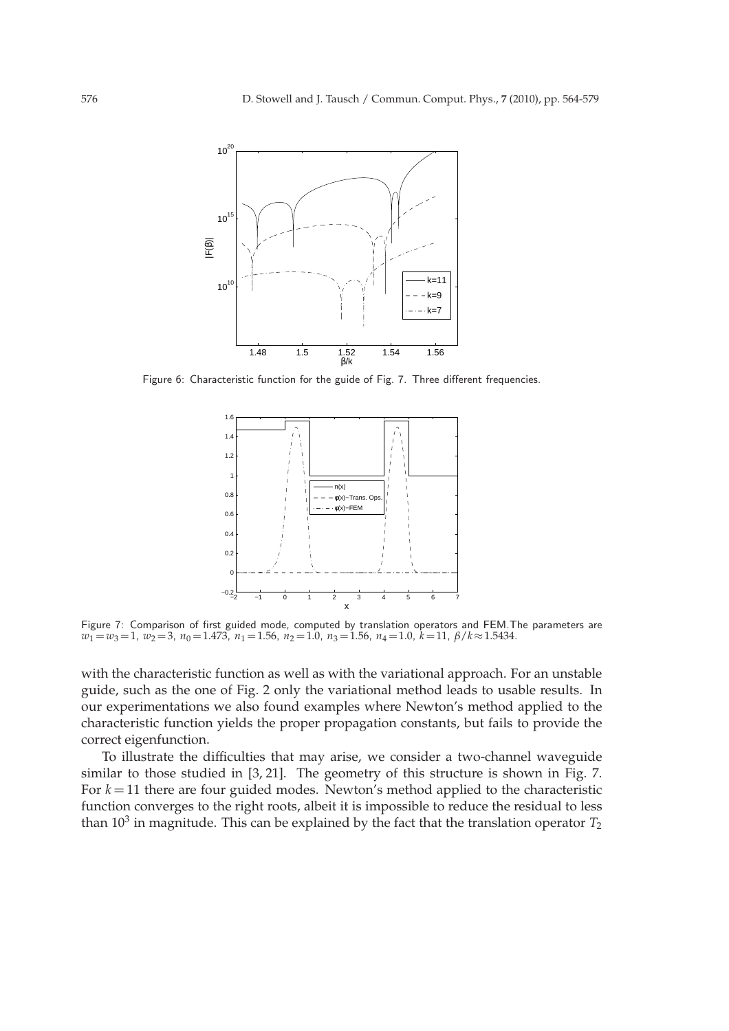

Figure 6: Characteristic function for the guide of Fig. 7. Three different frequencies.



Figure 7: Comparison of first guided mode, computed by translation operators and FEM.The parameters are *w*<sup>1</sup> =*w*3=1, *w*<sup>2</sup> =3, *n*<sup>0</sup> =1.473, *n*<sup>1</sup> =1.56, *n*<sup>2</sup> =1.0, *n*<sup>3</sup> =1.56, *n*<sup>4</sup> =1.0, *k*=11, *β*/*k*≈1.5434.

with the characteristic function as well as with the variational approach. For an unstable guide, such as the one of Fig. 2 only the variational method leads to usable results. In our experimentations we also found examples where Newton's method applied to the characteristic function yields the proper propagation constants, but fails to provide the correct eigenfunction.

To illustrate the difficulties that may arise, we consider a two-channel waveguide similar to those studied in [3, 21]. The geometry of this structure is shown in Fig. 7. For  $k = 11$  there are four guided modes. Newton's method applied to the characteristic function converges to the right roots, albeit it is impossible to reduce the residual to less than  $10^3$  in magnitude. This can be explained by the fact that the translation operator  $T_2$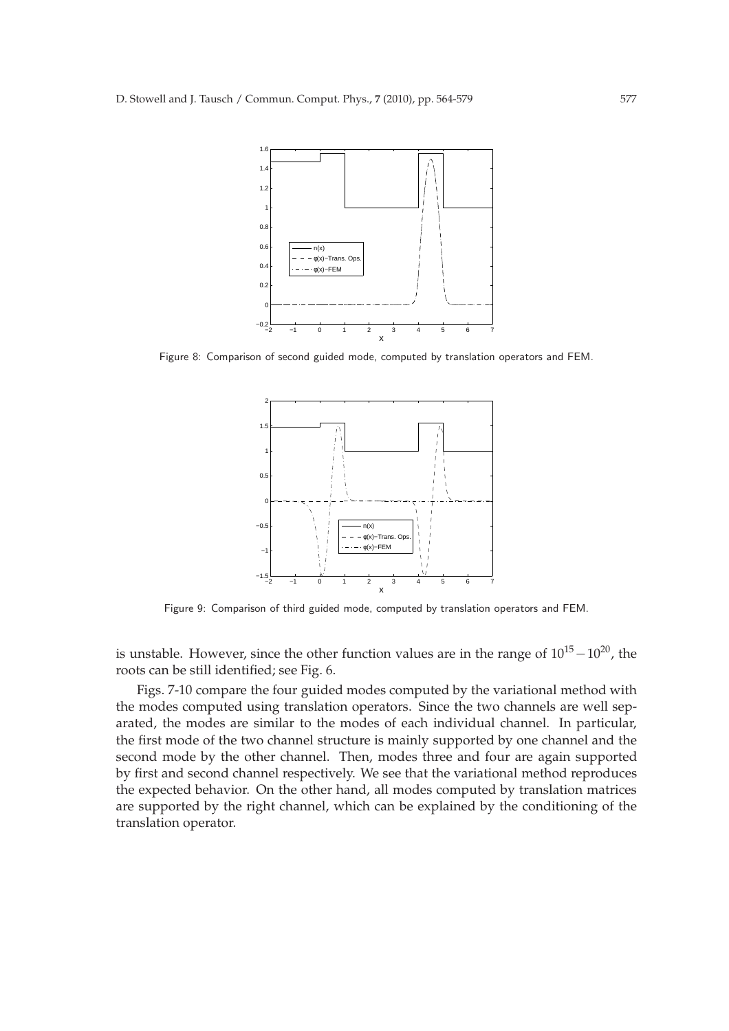

Figure 8: Comparison of second guided mode, computed by translation operators and FEM.



Figure 9: Comparison of third guided mode, computed by translation operators and FEM.

is unstable. However, since the other function values are in the range of  $10^{15}$  –  $10^{20}$ , the roots can be still identified; see Fig. 6.

Figs. 7-10 compare the four guided modes computed by the variational method with the modes computed using translation operators. Since the two channels are well separated, the modes are similar to the modes of each individual channel. In particular, the first mode of the two channel structure is mainly supported by one channel and the second mode by the other channel. Then, modes three and four are again supported by first and second channel respectively. We see that the variational method reproduces the expected behavior. On the other hand, all modes computed by translation matrices are supported by the right channel, which can be explained by the conditioning of the translation operator.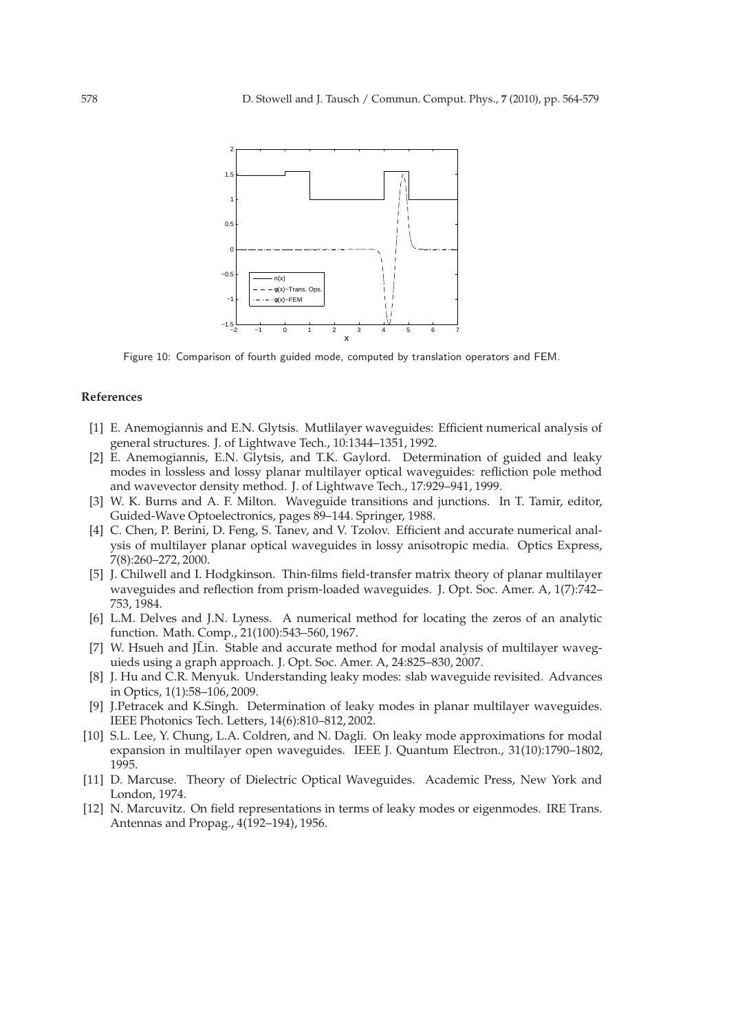

Figure 10: Comparison of fourth guided mode, computed by translation operators and FEM.

#### **References**

- [1] E. Anemogiannis and E.N. Glytsis. Mutlilayer waveguides: Efficient numerical analysis of general structures. J. of Lightwave Tech., 10:1344–1351, 1992.
- [2] E. Anemogiannis, E.N. Glytsis, and T.K. Gaylord. Determination of guided and leaky modes in lossless and lossy planar multilayer optical waveguides: refliction pole method and wavevector density method. J. of Lightwave Tech., 17:929–941, 1999.
- [3] W. K. Burns and A. F. Milton. Waveguide transitions and junctions. In T. Tamir, editor, Guided-Wave Optoelectronics, pages 89–144. Springer, 1988.
- [4] C. Chen, P. Berini, D. Feng, S. Tanev, and V. Tzolov. Efficient and accurate numerical analysis of multilayer planar optical waveguides in lossy anisotropic media. Optics Express, 7(8):260–272, 2000.
- [5] J. Chilwell and I. Hodgkinson. Thin-films field-transfer matrix theory of planar multilayer waveguides and reflection from prism-loaded waveguides. J. Opt. Soc. Amer. A, 1(7):742– 753, 1984.
- [6] L.M. Delves and J.N. Lyness. A numerical method for locating the zeros of an analytic function. Math. Comp., 21(100):543–560, 1967.
- [7] W. Hsueh and JLin. Stable and accurate method for modal analysis of multilayer waveguieds using a graph approach. J. Opt. Soc. Amer. A, 24:825–830, 2007.
- [8] J. Hu and C.R. Menyuk. Understanding leaky modes: slab waveguide revisited. Advances in Optics, 1(1):58–106, 2009.
- [9] J.Petracek and K.Singh. Determination of leaky modes in planar multilayer waveguides. IEEE Photonics Tech. Letters, 14(6):810–812, 2002.
- [10] S.L. Lee, Y. Chung, L.A. Coldren, and N. Dagli. On leaky mode approximations for modal expansion in multilayer open waveguides. IEEE J. Quantum Electron., 31(10):1790–1802, 1995.
- [11] D. Marcuse. Theory of Dielectric Optical Waveguides. Academic Press, New York and London, 1974.
- [12] N. Marcuvitz. On field representations in terms of leaky modes or eigenmodes. IRE Trans. Antennas and Propag., 4(192–194), 1956.